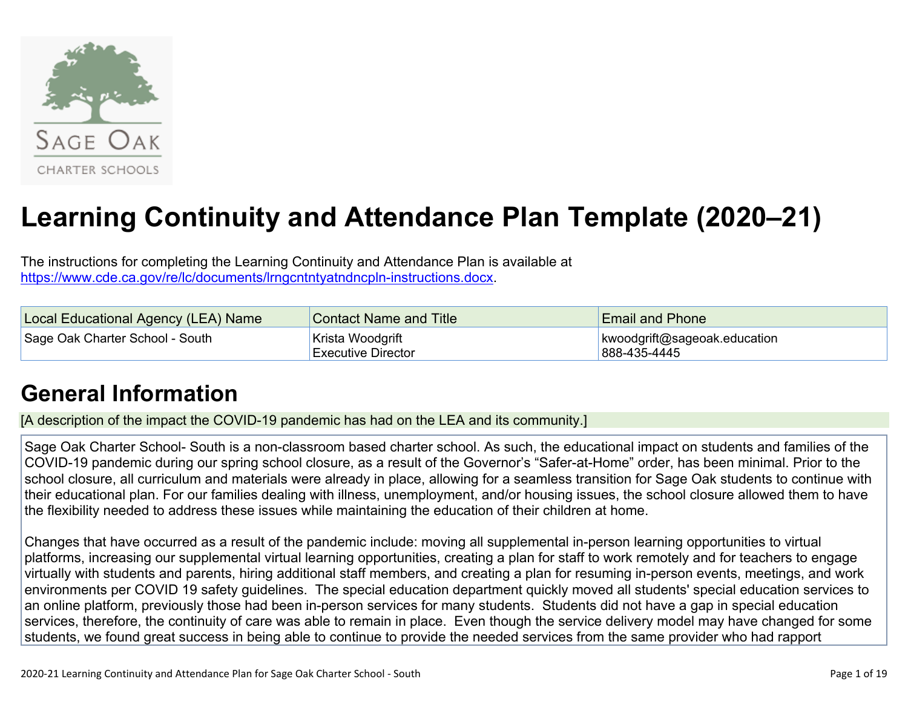

# **Learning Continuity and Attendance Plan Template (2020–21)**

The instructions for completing the Learning Continuity and Attendance Plan is available at <https://www.cde.ca.gov/re/lc/documents/lrngcntntyatndncpln-instructions.docx>.

| Local Educational Agency (LEA) Name | <b>Contact Name and Title</b>                  | <b>Email and Phone</b>                       |
|-------------------------------------|------------------------------------------------|----------------------------------------------|
| Sage Oak Charter School - South     | ∣Krista Woodgrift<br><b>Executive Director</b> | kwoodgrift@sageoak.education<br>888-435-4445 |

## **General [Information](http://www.doc-tracking.com/screenshots/20LCP/Instructions/20LCPInstructions.htm#generalinformation)**

[A description of the impact the COVID-19 pandemic has had on the LEA and its community.]

Sage Oak Charter School- South is a non-classroom based charter school. As such, the educational impact on students and families of the COVID-19 pandemic during our spring school closure, as a result of the Governor's "Safer-at-Home" order, has been minimal. Prior to the school closure, all curriculum and materials were already in place, allowing for a seamless transition for Sage Oak students to continue with their educational plan. For our families dealing with illness, unemployment, and/or housing issues, the school closure allowed them to have the flexibility needed to address these issues while maintaining the education of their children at home.

Changes that have occurred as a result of the pandemic include: moving all supplemental in-person learning opportunities to virtual platforms, increasing our supplemental virtual learning opportunities, creating a plan for staff to work remotely and for teachers to engage virtually with students and parents, hiring additional staff members, and creating a plan for resuming in-person events, meetings, and work environments per COVID 19 safety guidelines. The special education department quickly moved all students' special education services to an online platform, previously those had been in-person services for many students. Students did not have a gap in special education services, therefore, the continuity of care was able to remain in place. Even though the service delivery model may have changed for some students, we found great success in being able to continue to provide the needed services from the same provider who had rapport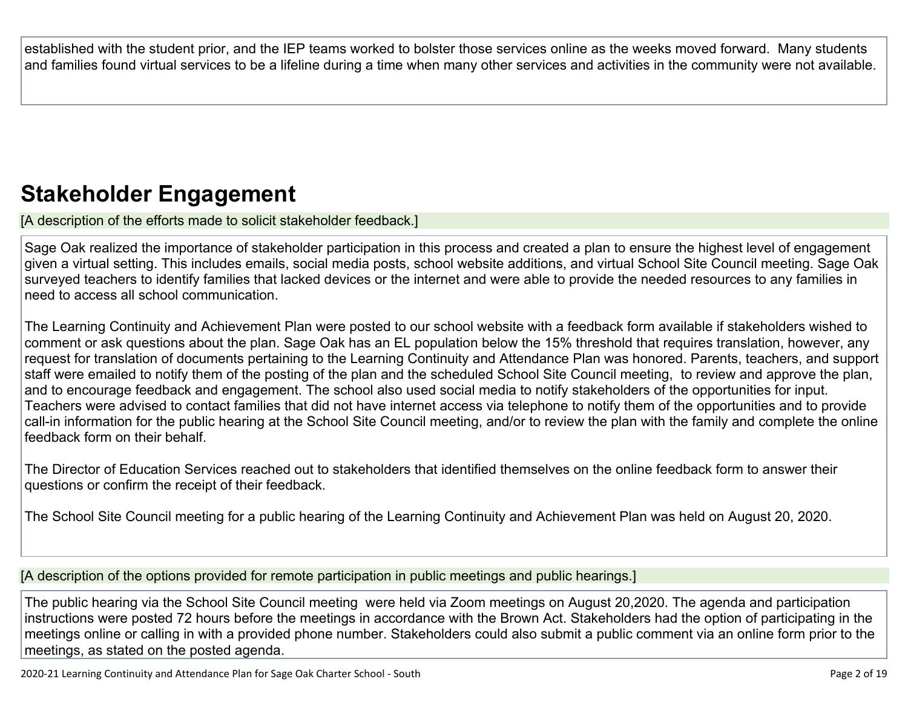established with the student prior, and the IEP teams worked to bolster those services online as the weeks moved forward. Many students and families found virtual services to be a lifeline during a time when many other services and activities in the community were not available.

## **Stakeholder [Engagement](http://www.doc-tracking.com/screenshots/20LCP/Instructions/20LCPInstructions.htm#stakeholderengagement)**

[A description of the efforts made to solicit stakeholder feedback.]

Sage Oak realized the importance of stakeholder participation in this process and created a plan to ensure the highest level of engagement given a virtual setting. This includes emails, social media posts, school website additions, and virtual School Site Council meeting. Sage Oak surveyed teachers to identify families that lacked devices or the internet and were able to provide the needed resources to any families in need to access all school communication.

The Learning Continuity and Achievement Plan were posted to our school website with a feedback form available if stakeholders wished to comment or ask questions about the plan. Sage Oak has an EL population below the 15% threshold that requires translation, however, any request for translation of documents pertaining to the Learning Continuity and Attendance Plan was honored. Parents, teachers, and support staff were emailed to notify them of the posting of the plan and the scheduled School Site Council meeting, to review and approve the plan, and to encourage feedback and engagement. The school also used social media to notify stakeholders of the opportunities for input. Teachers were advised to contact families that did not have internet access via telephone to notify them of the opportunities and to provide call-in information for the public hearing at the School Site Council meeting, and/or to review the plan with the family and complete the online feedback form on their behalf.

The Director of Education Services reached out to stakeholders that identified themselves on the online feedback form to answer their questions or confirm the receipt of their feedback.

The School Site Council meeting for a public hearing of the Learning Continuity and Achievement Plan was held on August 20, 2020.

[A description of the options provided for remote participation in public meetings and public hearings.]

The public hearing via the School Site Council meeting were held via Zoom meetings on August 20,2020. The agenda and participation instructions were posted 72 hours before the meetings in accordance with the Brown Act. Stakeholders had the option of participating in the meetings online or calling in with a provided phone number. Stakeholders could also submit a public comment via an online form prior to the meetings, as stated on the posted agenda.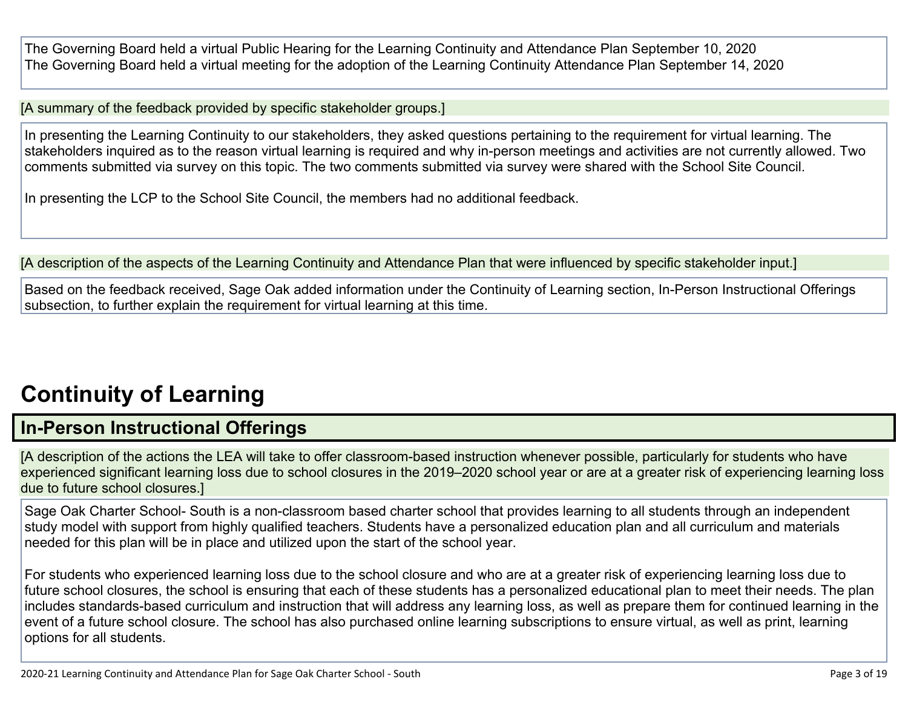The Governing Board held a virtual Public Hearing for the Learning Continuity and Attendance Plan September 10, 2020 The Governing Board held a virtual meeting for the adoption of the Learning Continuity Attendance Plan September 14, 2020

[A summary of the feedback provided by specific stakeholder groups.]

In presenting the Learning Continuity to our stakeholders, they asked questions pertaining to the requirement for virtual learning. The stakeholders inquired as to the reason virtual learning is required and why in-person meetings and activities are not currently allowed. Two comments submitted via survey on this topic. The two comments submitted via survey were shared with the School Site Council.

In presenting the LCP to the School Site Council, the members had no additional feedback.

[A description of the aspects of the Learning Continuity and Attendance Plan that were influenced by specific stakeholder input.]

Based on the feedback received, Sage Oak added information under the Continuity of Learning section, In-Person Instructional Offerings subsection, to further explain the requirement for virtual learning at this time.

## **[Continuity](http://www.doc-tracking.com/screenshots/20LCP/Instructions/20LCPInstructions.htm#ContinuityofLearning) of Learnin[g](http://www.doc-tracking.com/screenshots/20LCP/Instructions/20LCPInstructions.htm#ContinuityofLearning)**

### **In-Person [Instructional](http://www.doc-tracking.com/screenshots/20LCP/Instructions/20LCPInstructions.htm#ContinuityofLearning1) Offerings**

[A description of the actions the LEA will take to offer classroom-based instruction whenever possible, particularly for students who have experienced significant learning loss due to school closures in the 2019–2020 school year or are at a greater risk of experiencing learning loss due to future school closures.]

Sage Oak Charter School- South is a non-classroom based charter school that provides learning to all students through an independent study model with support from highly qualified teachers. Students have a personalized education plan and all curriculum and materials needed for this plan will be in place and utilized upon the start of the school year.

For students who experienced learning loss due to the school closure and who are at a greater risk of experiencing learning loss due to future school closures, the school is ensuring that each of these students has a personalized educational plan to meet their needs. The plan includes standards-based curriculum and instruction that will address any learning loss, as well as prepare them for continued learning in the event of a future school closure. The school has also purchased online learning subscriptions to ensure virtual, as well as print, learning options for all students.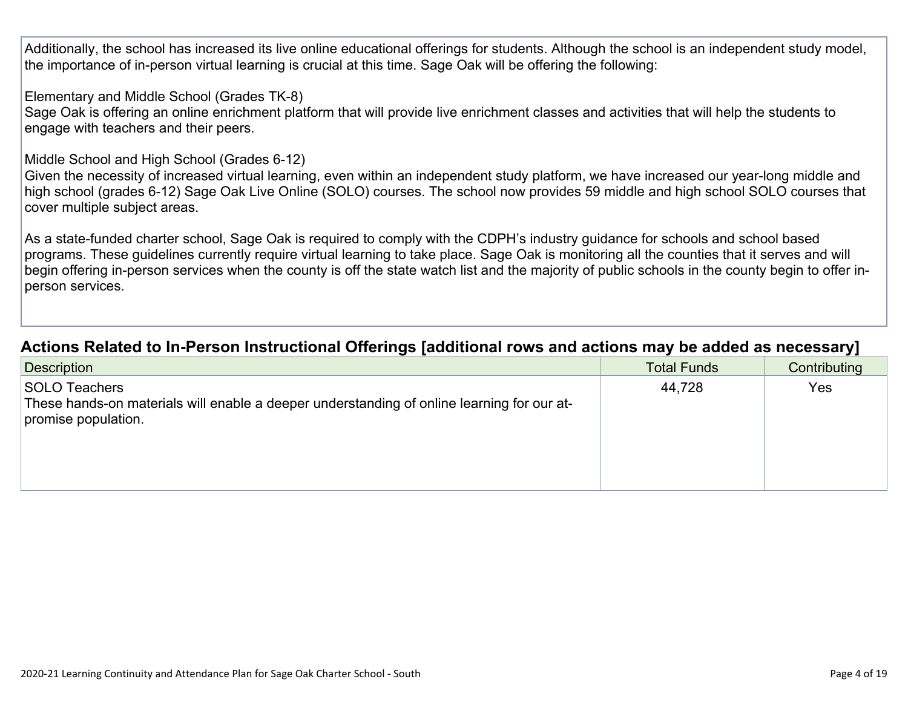Additionally, the school has increased its live online educational offerings for students. Although the school is an independent study model, the importance of in-person virtual learning is crucial at this time. Sage Oak will be offering the following:

Elementary and Middle School (Grades TK-8)

Sage Oak is offering an online enrichment platform that will provide live enrichment classes and activities that will help the students to engage with teachers and their peers.

#### Middle School and High School (Grades 6-12)

Given the necessity of increased virtual learning, even within an independent study platform, we have increased our year-long middle and high school (grades 6-12) Sage Oak Live Online (SOLO) courses. The school now provides 59 middle and high school SOLO courses that cover multiple subject areas.

As a state-funded charter school, Sage Oak is required to comply with the CDPH's industry guidance for schools and school based programs. These guidelines currently require virtual learning to take place. Sage Oak is monitoring all the counties that it serves and will begin offering in-person services when the county is off the state watch list and the majority of public schools in the county begin to offer inperson services.

### **Actions Related to In-Person [Instructional](http://www.doc-tracking.com/screenshots/20LCP/Instructions/20LCPInstructions.htm#ContinuityofLearning2) Offerings [additional rows and actions may be added as necessary]**

| <b>Description</b>                                                                                                                 | <b>Total Funds</b> | Contributing |
|------------------------------------------------------------------------------------------------------------------------------------|--------------------|--------------|
| SOLO Teachers<br>These hands-on materials will enable a deeper understanding of online learning for our at-<br>promise population. | 44,728             | Yes          |
|                                                                                                                                    |                    |              |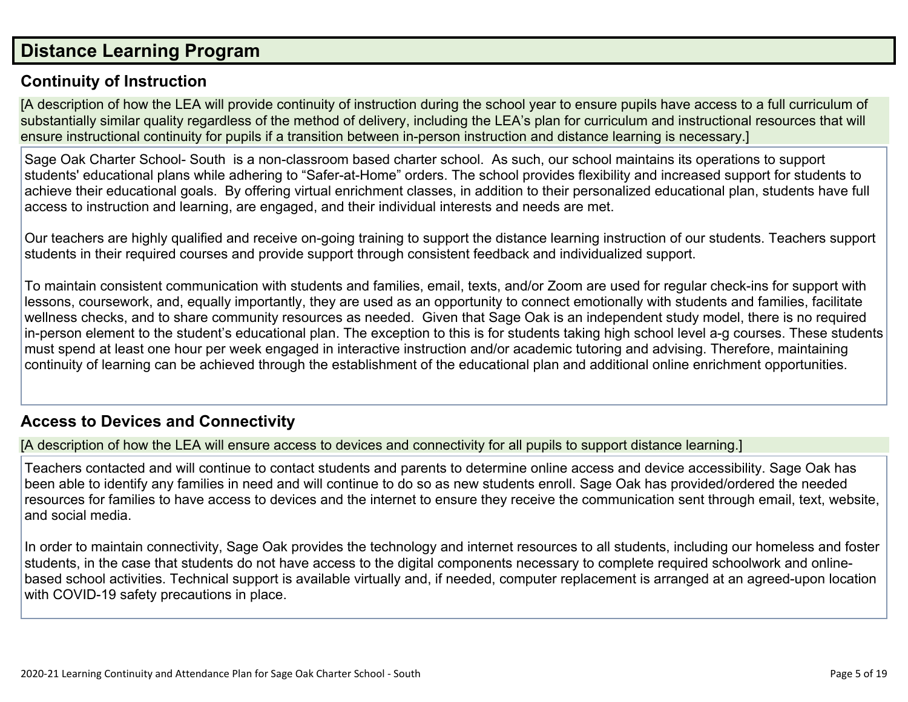### **Distance [Learning](http://www.doc-tracking.com/screenshots/20LCP/Instructions/20LCPInstructions.htm#DistanceLearningProgram) Program**

#### **Continuity of [Instruction](http://www.doc-tracking.com/screenshots/20LCP/Instructions/20LCPInstructions.htm#DistanceLearningProgram1)**

[A description of how the LEA will provide continuity of instruction during the school year to ensure pupils have access to a full curriculum of substantially similar quality regardless of the method of delivery, including the LEA's plan for curriculum and instructional resources that will ensure instructional continuity for pupils if a transition between in-person instruction and distance learning is necessary.]

Sage Oak Charter School- South is a non-classroom based charter school. As such, our school maintains its operations to support students' educational plans while adhering to "Safer-at-Home" orders. The school provides flexibility and increased support for students to achieve their educational goals. By offering virtual enrichment classes, in addition to their personalized educational plan, students have full access to instruction and learning, are engaged, and their individual interests and needs are met.

Our teachers are highly qualified and receive on-going training to support the distance learning instruction of our students. Teachers support students in their required courses and provide support through consistent feedback and individualized support.

To maintain consistent communication with students and families, email, texts, and/or Zoom are used for regular check-ins for support with lessons, coursework, and, equally importantly, they are used as an opportunity to connect emotionally with students and families, facilitate wellness checks, and to share community resources as needed. Given that Sage Oak is an independent study model, there is no required in-person element to the student's educational plan. The exception to this is for students taking high school level a-g courses. These students must spend at least one hour per week engaged in interactive instruction and/or academic tutoring and advising. Therefore, maintaining continuity of learning can be achieved through the establishment of the educational plan and additional online enrichment opportunities.

#### **Access to Devices and [Connectivity](http://www.doc-tracking.com/screenshots/20LCP/Instructions/20LCPInstructions.htm#DistanceLearningProgram2)**

[A description of how the LEA will ensure access to devices and connectivity for all pupils to support distance learning.]

Teachers contacted and will continue to contact students and parents to determine online access and device accessibility. Sage Oak has been able to identify any families in need and will continue to do so as new students enroll. Sage Oak has provided/ordered the needed resources for families to have access to devices and the internet to ensure they receive the communication sent through email, text, website, and social media.

In order to maintain connectivity, Sage Oak provides the technology and internet resources to all students, including our homeless and foster students, in the case that students do not have access to the digital components necessary to complete required schoolwork and onlinebased school activities. Technical support is available virtually and, if needed, computer replacement is arranged at an agreed-upon location with COVID-19 safety precautions in place.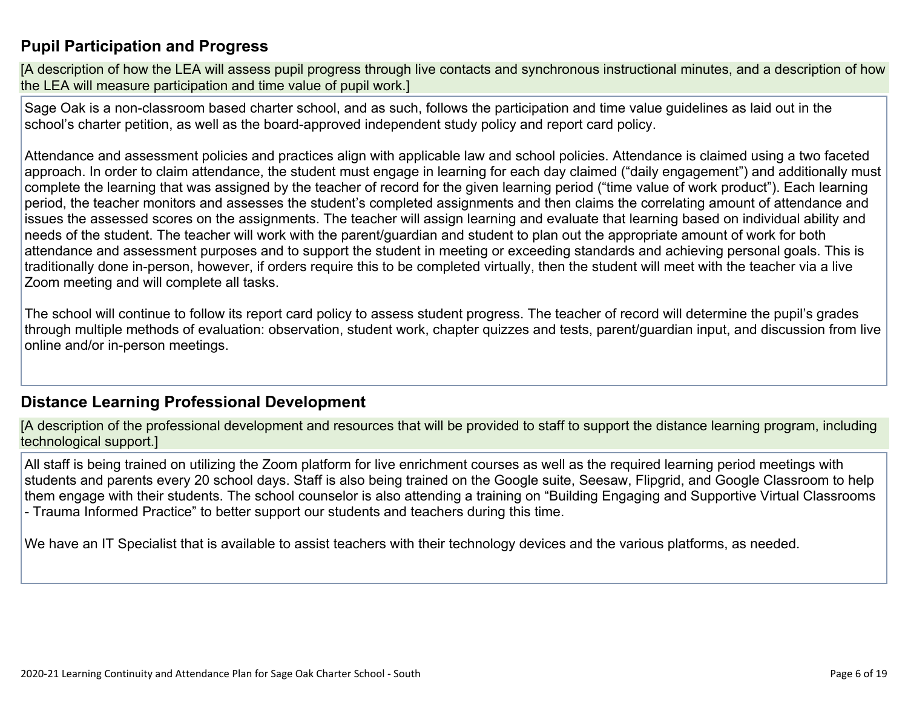### **Pupil [Participation](http://www.doc-tracking.com/screenshots/20LCP/Instructions/20LCPInstructions.htm#DistanceLearningProgram3) and Progress**

[A description of how the LEA will assess pupil progress through live contacts and synchronous instructional minutes, and a description of how the LEA will measure participation and time value of pupil work.]

Sage Oak is a non-classroom based charter school, and as such, follows the participation and time value guidelines as laid out in the school's charter petition, as well as the board-approved independent study policy and report card policy.

Attendance and assessment policies and practices align with applicable law and school policies. Attendance is claimed using a two faceted approach. In order to claim attendance, the student must engage in learning for each day claimed ("daily engagement") and additionally must complete the learning that was assigned by the teacher of record for the given learning period ("time value of work product"). Each learning period, the teacher monitors and assesses the student's completed assignments and then claims the correlating amount of attendance and issues the assessed scores on the assignments. The teacher will assign learning and evaluate that learning based on individual ability and needs of the student. The teacher will work with the parent/guardian and student to plan out the appropriate amount of work for both attendance and assessment purposes and to support the student in meeting or exceeding standards and achieving personal goals. This is traditionally done in-person, however, if orders require this to be completed virtually, then the student will meet with the teacher via a live Zoom meeting and will complete all tasks.

The school will continue to follow its report card policy to assess student progress. The teacher of record will determine the pupil's grades through multiple methods of evaluation: observation, student work, chapter quizzes and tests, parent/guardian input, and discussion from live online and/or in-person meetings.

#### **Distance Learning Professional [Development](http://www.doc-tracking.com/screenshots/20LCP/Instructions/20LCPInstructions.htm#DistanceLearningProgram4)**

[A description of the professional development and resources that will be provided to staff to support the distance learning program, including technological support.]

All staff is being trained on utilizing the Zoom platform for live enrichment courses as well as the required learning period meetings with students and parents every 20 school days. Staff is also being trained on the Google suite, Seesaw, Flipgrid, and Google Classroom to help them engage with their students. The school counselor is also attending a training on "Building Engaging and Supportive Virtual Classrooms - Trauma Informed Practice" to better support our students and teachers during this time.

We have an IT Specialist that is available to assist teachers with their technology devices and the various platforms, as needed.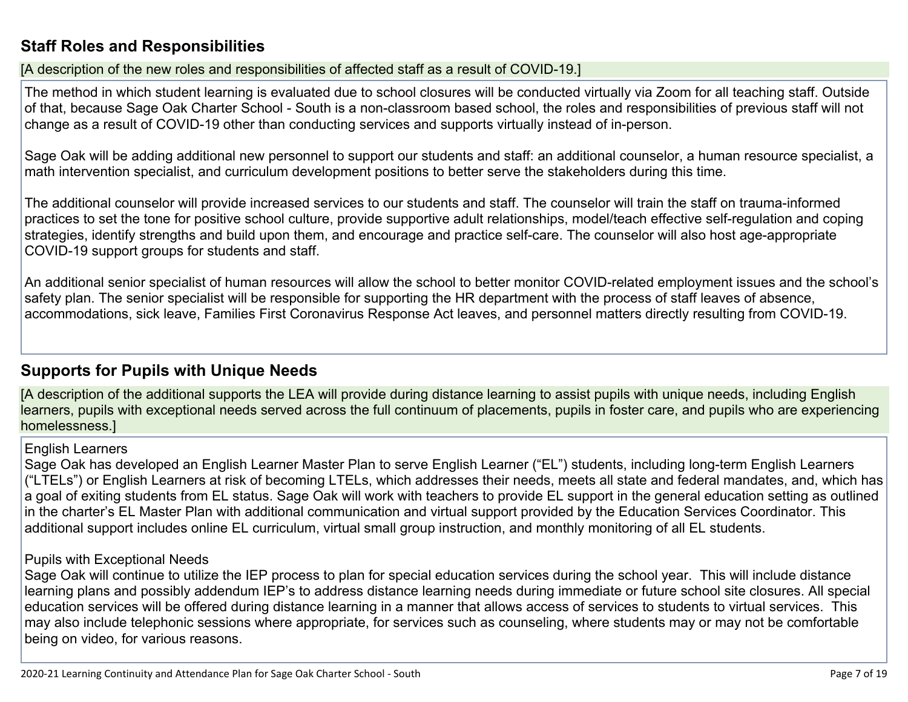### **Staff Roles and [Responsibilities](http://www.doc-tracking.com/screenshots/20LCP/Instructions/20LCPInstructions.htm#DistanceLearningProgram5)**

[A description of the new roles and responsibilities of affected staff as a result of COVID-19.]

The method in which student learning is evaluated due to school closures will be conducted virtually via Zoom for all teaching staff. Outside of that, because Sage Oak Charter School - South is a non-classroom based school, the roles and responsibilities of previous staff will not change as a result of COVID-19 other than conducting services and supports virtually instead of in-person.

Sage Oak will be adding additional new personnel to support our students and staff: an additional counselor, a human resource specialist, a math intervention specialist, and curriculum development positions to better serve the stakeholders during this time.

The additional counselor will provide increased services to our students and staff. The counselor will train the staff on trauma-informed practices to set the tone for positive school culture, provide supportive adult relationships, model/teach effective self-regulation and coping strategies, identify strengths and build upon them, and encourage and practice self-care. The counselor will also host age-appropriate COVID-19 support groups for students and staff.

An additional senior specialist of human resources will allow the school to better monitor COVID-related employment issues and the school's safety plan. The senior specialist will be responsible for supporting the HR department with the process of staff leaves of absence, accommodations, sick leave, Families First Coronavirus Response Act leaves, and personnel matters directly resulting from COVID-19.

### **[Supports](http://www.doc-tracking.com/screenshots/20LCP/Instructions/20LCPInstructions.htm#DistanceLearningProgram6) for Pupils with Unique Needs**

[A description of the additional supports the LEA will provide during distance learning to assist pupils with unique needs, including English learners, pupils with exceptional needs served across the full continuum of placements, pupils in foster care, and pupils who are experiencing homelessness.]

#### English Learners

Sage Oak has developed an English Learner Master Plan to serve English Learner ("EL") students, including long-term English Learners ("LTELs") or English Learners at risk of becoming LTELs, which addresses their needs, meets all state and federal mandates, and, which has a goal of exiting students from EL status. Sage Oak will work with teachers to provide EL support in the general education setting as outlined in the charter's EL Master Plan with additional communication and virtual support provided by the Education Services Coordinator. This additional support includes online EL curriculum, virtual small group instruction, and monthly monitoring of all EL students.

#### Pupils with Exceptional Needs

Sage Oak will continue to utilize the IEP process to plan for special education services during the school year. This will include distance learning plans and possibly addendum IEP's to address distance learning needs during immediate or future school site closures. All special education services will be offered during distance learning in a manner that allows access of services to students to virtual services. This may also include telephonic sessions where appropriate, for services such as counseling, where students may or may not be comfortable being on video, for various reasons.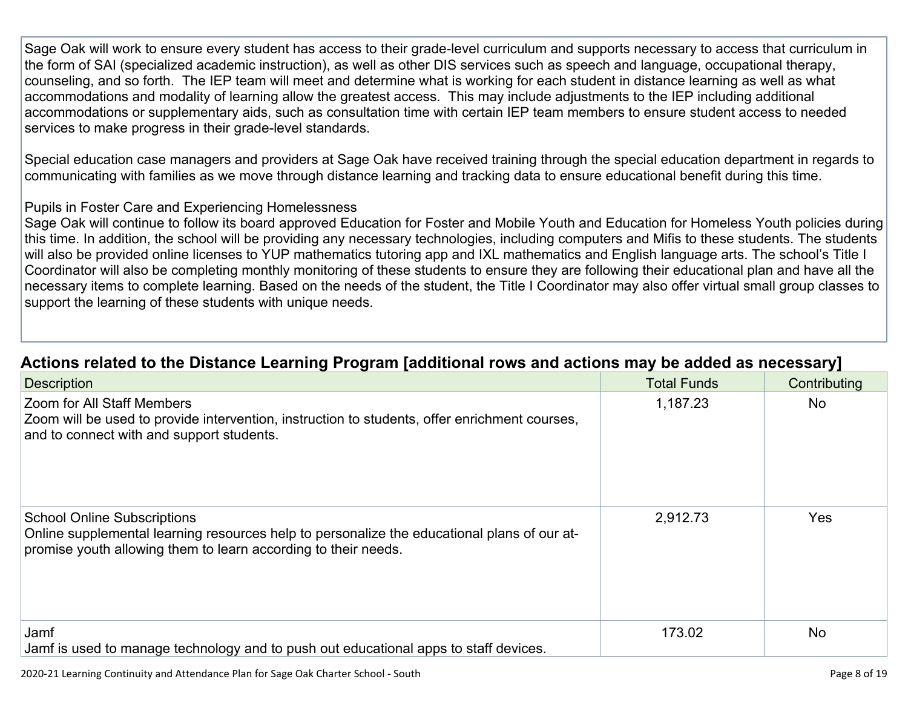Sage Oak will work to ensure every student has access to their grade-level curriculum and supports necessary to access that curriculum in the form of SAI (specialized academic instruction), as well as other DIS services such as speech and language, occupational therapy, counseling, and so forth. The IEP team will meet and determine what is working for each student in distance learning as well as what accommodations and modality of learning allow the greatest access. This may include adjustments to the IEP including additional accommodations or supplementary aids, such as consultation time with certain IEP team members to ensure student access to needed services to make progress in their grade-level standards.

Special education case managers and providers at Sage Oak have received training through the special education department in regards to communicating with families as we move through distance learning and tracking data to ensure educational benefit during this time.

#### Pupils in Foster Care and Experiencing Homelessness

Sage Oak will continue to follow its board approved Education for Foster and Mobile Youth and Education for Homeless Youth policies during this time. In addition, the school will be providing any necessary technologies, including computers and Mifis to these students. The students will also be provided online licenses to YUP mathematics tutoring app and IXL mathematics and English language arts. The school's Title I Coordinator will also be completing monthly monitoring of these students to ensure they are following their educational plan and have all the necessary items to complete learning. Based on the needs of the student, the Title I Coordinator may also offer virtual small group classes to support the learning of these students with unique needs.

| <b>Description</b>                                                                                                                                                                                  | <b>Total Funds</b> | Contributing |
|-----------------------------------------------------------------------------------------------------------------------------------------------------------------------------------------------------|--------------------|--------------|
| Zoom for All Staff Members<br>Zoom will be used to provide intervention, instruction to students, offer enrichment courses,<br>and to connect with and support students.                            | 1,187.23           | <b>No</b>    |
| <b>School Online Subscriptions</b><br>Online supplemental learning resources help to personalize the educational plans of our at-<br>promise youth allowing them to learn according to their needs. | 2,912.73           | <b>Yes</b>   |
| Jamf<br>Jamf is used to manage technology and to push out educational apps to staff devices.                                                                                                        | 173.02             | <b>No</b>    |

### **Actions related to the Distance Learning Program [additional rows and actions may be added as [necessary\]](http://www.doc-tracking.com/screenshots/20LCP/Instructions/20LCPInstructions.htm#DistanceLearningProgram7)**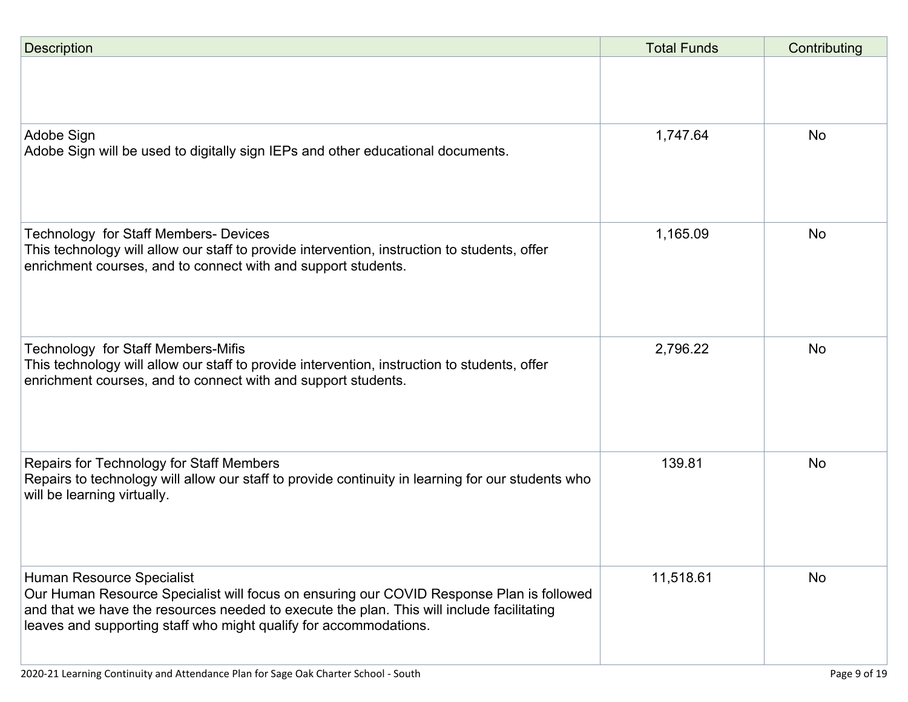| <b>Description</b>                                                                                                                                                                                                                                                                      | <b>Total Funds</b> | Contributing |
|-----------------------------------------------------------------------------------------------------------------------------------------------------------------------------------------------------------------------------------------------------------------------------------------|--------------------|--------------|
|                                                                                                                                                                                                                                                                                         |                    |              |
| Adobe Sign<br>Adobe Sign will be used to digitally sign IEPs and other educational documents.                                                                                                                                                                                           | 1,747.64           | <b>No</b>    |
| <b>Technology for Staff Members- Devices</b><br>This technology will allow our staff to provide intervention, instruction to students, offer<br>enrichment courses, and to connect with and support students.                                                                           | 1,165.09           | <b>No</b>    |
| Technology for Staff Members-Mifis<br>This technology will allow our staff to provide intervention, instruction to students, offer<br>enrichment courses, and to connect with and support students.                                                                                     | 2,796.22           | <b>No</b>    |
| Repairs for Technology for Staff Members<br>Repairs to technology will allow our staff to provide continuity in learning for our students who<br>will be learning virtually.                                                                                                            | 139.81             | <b>No</b>    |
| Human Resource Specialist<br>Our Human Resource Specialist will focus on ensuring our COVID Response Plan is followed<br>and that we have the resources needed to execute the plan. This will include facilitating<br>leaves and supporting staff who might qualify for accommodations. | 11,518.61          | <b>No</b>    |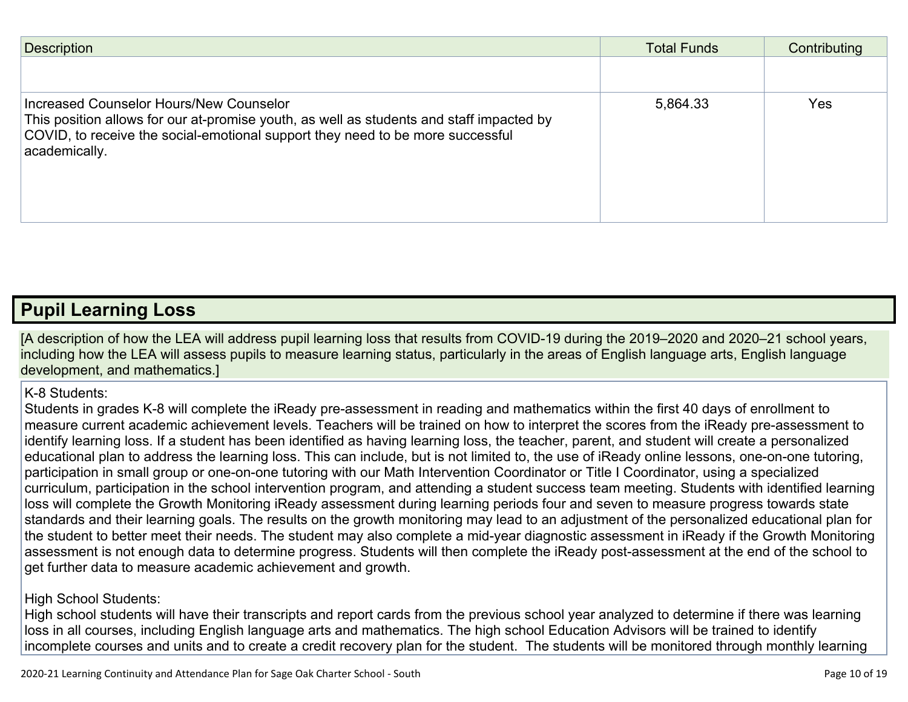| <b>Description</b>                                                                                                                                                                                                                     | <b>Total Funds</b> | Contributing |
|----------------------------------------------------------------------------------------------------------------------------------------------------------------------------------------------------------------------------------------|--------------------|--------------|
|                                                                                                                                                                                                                                        |                    |              |
| Increased Counselor Hours/New Counselor<br>This position allows for our at-promise youth, as well as students and staff impacted by<br>COVID, to receive the social-emotional support they need to be more successful<br>academically. | 5,864.33           | <b>Yes</b>   |

### **Pupil [Learning](http://www.doc-tracking.com/screenshots/20LCP/Instructions/20LCPInstructions.htm#PupilLearningLoss) Loss**

[A description of how the LEA will address pupil learning loss that results from COVID-19 during the 2019–2020 and 2020–21 school years, including how the LEA will assess pupils to measure learning status, particularly in the areas of English language arts, English language development, and mathematics.]

#### K-8 Students:

Students in grades K-8 will complete the iReady pre-assessment in reading and mathematics within the first 40 days of enrollment to measure current academic achievement levels. Teachers will be trained on how to interpret the scores from the iReady pre-assessment to identify learning loss. If a student has been identified as having learning loss, the teacher, parent, and student will create a personalized educational plan to address the learning loss. This can include, but is not limited to, the use of iReady online lessons, one-on-one tutoring, participation in small group or one-on-one tutoring with our Math Intervention Coordinator or Title I Coordinator, using a specialized curriculum, participation in the school intervention program, and attending a student success team meeting. Students with identified learning loss will complete the Growth Monitoring iReady assessment during learning periods four and seven to measure progress towards state standards and their learning goals. The results on the growth monitoring may lead to an adjustment of the personalized educational plan for the student to better meet their needs. The student may also complete a mid-year diagnostic assessment in iReady if the Growth Monitoring assessment is not enough data to determine progress. Students will then complete the iReady post-assessment at the end of the school to get further data to measure academic achievement and growth.

#### High School Students:

High school students will have their transcripts and report cards from the previous school year analyzed to determine if there was learning loss in all courses, including English language arts and mathematics. The high school Education Advisors will be trained to identify incomplete courses and units and to create a credit recovery plan for the student. The students will be monitored through monthly learning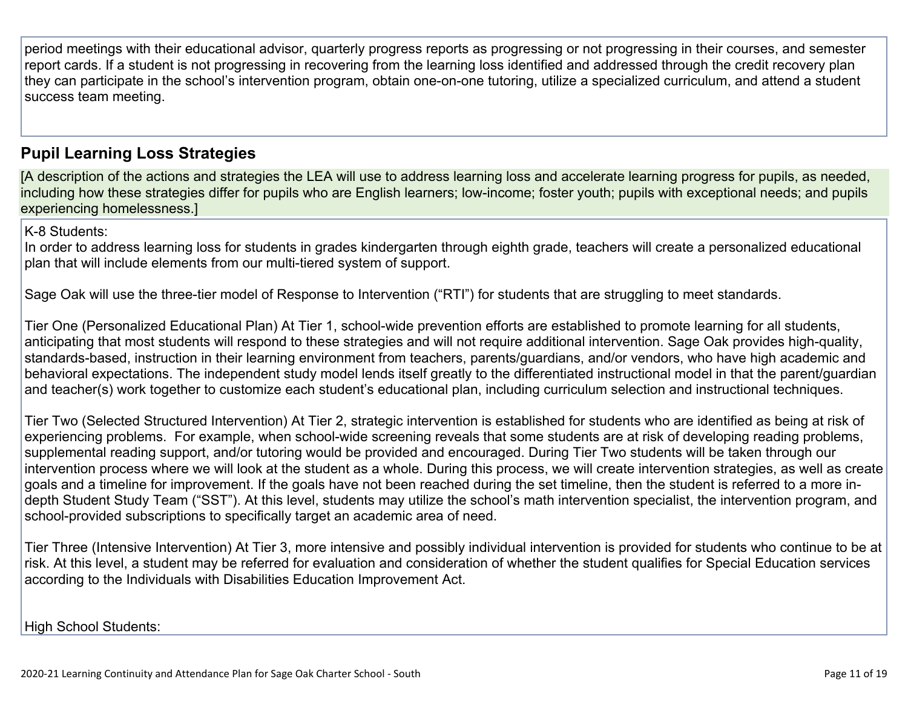period meetings with their educational advisor, quarterly progress reports as progressing or not progressing in their courses, and semester report cards. If a student is not progressing in recovering from the learning loss identified and addressed through the credit recovery plan they can participate in the school's intervention program, obtain one-on-one tutoring, utilize a specialized curriculum, and attend a student success team meeting.

#### **Pupil Learning Loss [Strategies](http://www.doc-tracking.com/screenshots/20LCP/Instructions/20LCPInstructions.htm#PupilLearningLoss1)**

[A description of the actions and strategies the LEA will use to address learning loss and accelerate learning progress for pupils, as needed, including how these strategies differ for pupils who are English learners; low-income; foster youth; pupils with exceptional needs; and pupils experiencing homelessness.]

K-8 Students:

In order to address learning loss for students in grades kindergarten through eighth grade, teachers will create a personalized educational plan that will include elements from our multi-tiered system of support.

Sage Oak will use the three-tier model of Response to Intervention ("RTI") for students that are struggling to meet standards.

Tier One (Personalized Educational Plan) At Tier 1, school-wide prevention efforts are established to promote learning for all students, anticipating that most students will respond to these strategies and will not require additional intervention. Sage Oak provides high-quality, standards-based, instruction in their learning environment from teachers, parents/guardians, and/or vendors, who have high academic and behavioral expectations. The independent study model lends itself greatly to the differentiated instructional model in that the parent/guardian and teacher(s) work together to customize each student's educational plan, including curriculum selection and instructional techniques.

Tier Two (Selected Structured Intervention) At Tier 2, strategic intervention is established for students who are identified as being at risk of experiencing problems. For example, when school-wide screening reveals that some students are at risk of developing reading problems, supplemental reading support, and/or tutoring would be provided and encouraged. During Tier Two students will be taken through our intervention process where we will look at the student as a whole. During this process, we will create intervention strategies, as well as create goals and a timeline for improvement. If the goals have not been reached during the set timeline, then the student is referred to a more indepth Student Study Team ("SST"). At this level, students may utilize the school's math intervention specialist, the intervention program, and school-provided subscriptions to specifically target an academic area of need.

Tier Three (Intensive Intervention) At Tier 3, more intensive and possibly individual intervention is provided for students who continue to be at risk. At this level, a student may be referred for evaluation and consideration of whether the student qualifies for Special Education services according to the Individuals with Disabilities Education Improvement Act.

High School Students: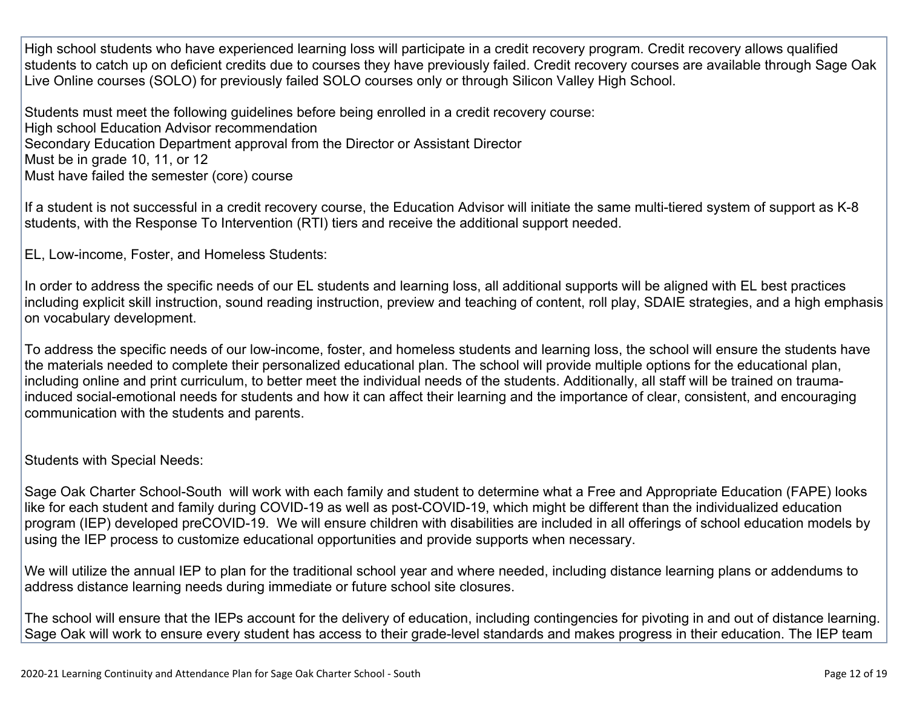High school students who have experienced learning loss will participate in a credit recovery program. Credit recovery allows qualified students to catch up on deficient credits due to courses they have previously failed. Credit recovery courses are available through Sage Oak Live Online courses (SOLO) for previously failed SOLO courses only or through Silicon Valley High School.

Students must meet the following guidelines before being enrolled in a credit recovery course: High school Education Advisor recommendation Secondary Education Department approval from the Director or Assistant Director Must be in grade 10, 11, or 12 Must have failed the semester (core) course

If a student is not successful in a credit recovery course, the Education Advisor will initiate the same multi-tiered system of support as K-8 students, with the Response To Intervention (RTI) tiers and receive the additional support needed.

EL, Low-income, Foster, and Homeless Students:

In order to address the specific needs of our EL students and learning loss, all additional supports will be aligned with EL best practices including explicit skill instruction, sound reading instruction, preview and teaching of content, roll play, SDAIE strategies, and a high emphasis on vocabulary development.

To address the specific needs of our low-income, foster, and homeless students and learning loss, the school will ensure the students have the materials needed to complete their personalized educational plan. The school will provide multiple options for the educational plan, including online and print curriculum, to better meet the individual needs of the students. Additionally, all staff will be trained on traumainduced social-emotional needs for students and how it can affect their learning and the importance of clear, consistent, and encouraging communication with the students and parents.

Students with Special Needs:

Sage Oak Charter School-South will work with each family and student to determine what a Free and Appropriate Education (FAPE) looks like for each student and family during COVID-19 as well as post-COVID-19, which might be different than the individualized education program (IEP) developed preCOVID-19. We will ensure children with disabilities are included in all offerings of school education models by using the IEP process to customize educational opportunities and provide supports when necessary.

We will utilize the annual IEP to plan for the traditional school year and where needed, including distance learning plans or addendums to address distance learning needs during immediate or future school site closures.

The school will ensure that the IEPs account for the delivery of education, including contingencies for pivoting in and out of distance learning. Sage Oak will work to ensure every student has access to their grade-level standards and makes progress in their education. The IEP team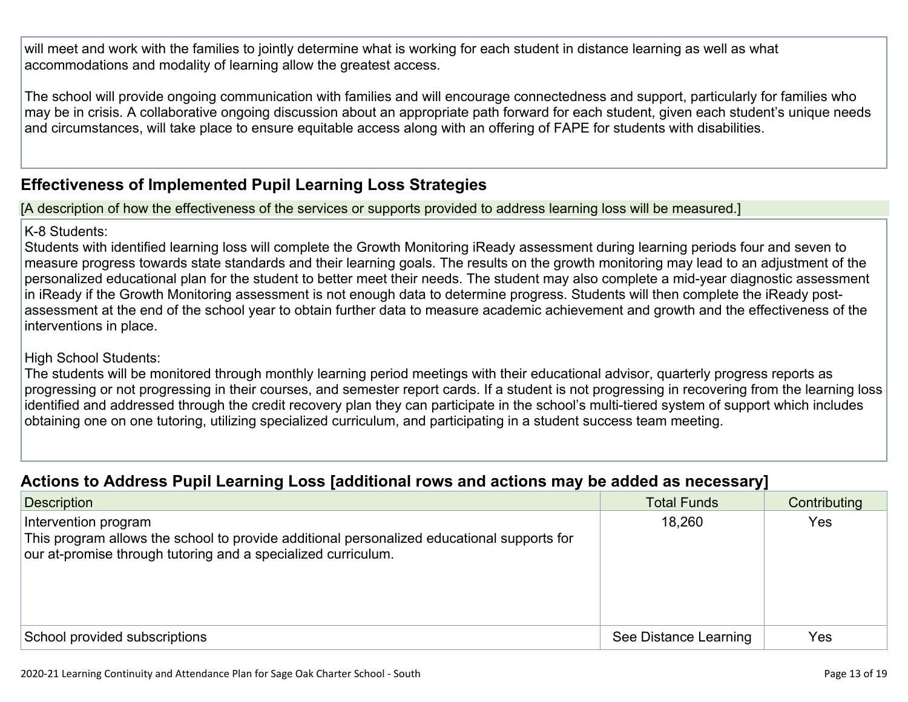will meet and work with the families to jointly determine what is working for each student in distance learning as well as what accommodations and modality of learning allow the greatest access.

The school will provide ongoing communication with families and will encourage connectedness and support, particularly for families who may be in crisis. A collaborative ongoing discussion about an appropriate path forward for each student, given each student's unique needs and circumstances, will take place to ensure equitable access along with an offering of FAPE for students with disabilities.

### **[Effectiveness](http://www.doc-tracking.com/screenshots/20LCP/Instructions/20LCPInstructions.htm#PupilLearningLoss2) of Implemented Pupil Learning Loss Strategies**

[A description of how the effectiveness of the services or supports provided to address learning loss will be measured.]

#### K-8 Students:

Students with identified learning loss will complete the Growth Monitoring iReady assessment during learning periods four and seven to measure progress towards state standards and their learning goals. The results on the growth monitoring may lead to an adjustment of the personalized educational plan for the student to better meet their needs. The student may also complete a mid-year diagnostic assessment in iReady if the Growth Monitoring assessment is not enough data to determine progress. Students will then complete the iReady postassessment at the end of the school year to obtain further data to measure academic achievement and growth and the effectiveness of the interventions in place.

#### High School Students:

The students will be monitored through monthly learning period meetings with their educational advisor, quarterly progress reports as progressing or not progressing in their courses, and semester report cards. If a student is not progressing in recovering from the learning loss identified and addressed through the credit recovery plan they can participate in the school's multi-tiered system of support which includes obtaining one on one tutoring, utilizing specialized curriculum, and participating in a student success team meeting.

### **Actions to Address Pupil Learning Loss [additional rows and actions may be added as [necessary\]](http://www.doc-tracking.com/screenshots/20LCP/Instructions/20LCPInstructions.htm#PupilLearningLoss4)**

| $\sim$                                                                                                                                                                              | . .                   |              |
|-------------------------------------------------------------------------------------------------------------------------------------------------------------------------------------|-----------------------|--------------|
| <b>Description</b>                                                                                                                                                                  | <b>Total Funds</b>    | Contributing |
| Intervention program<br>This program allows the school to provide additional personalized educational supports for<br>our at-promise through tutoring and a specialized curriculum. | 18,260                | <b>Yes</b>   |
| School provided subscriptions                                                                                                                                                       | See Distance Learning | Yes          |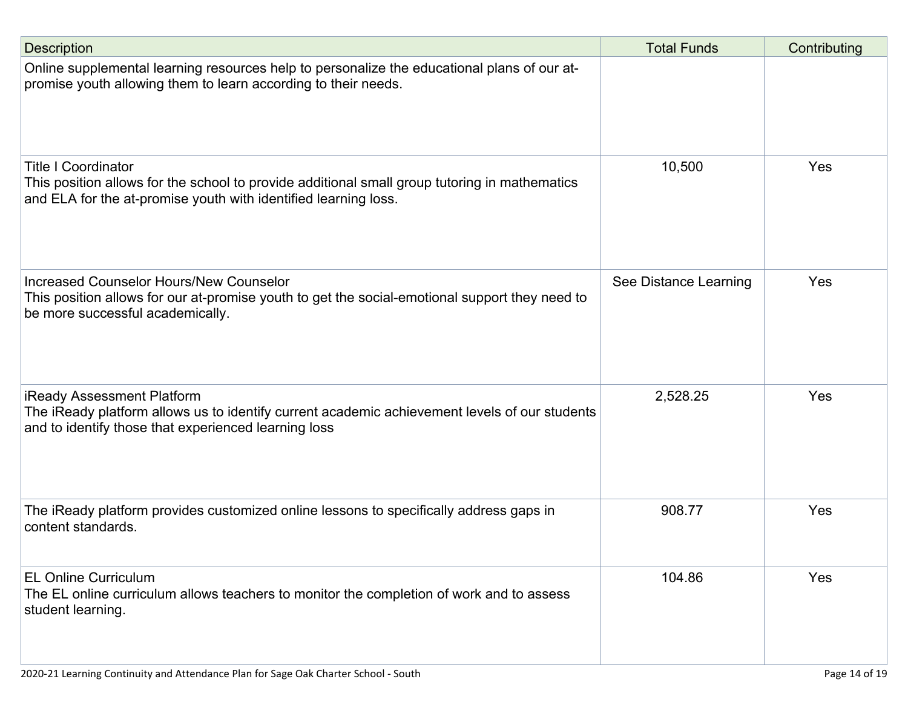| <b>Description</b>                                                                                                                                                                             | <b>Total Funds</b>    | Contributing |
|------------------------------------------------------------------------------------------------------------------------------------------------------------------------------------------------|-----------------------|--------------|
| Online supplemental learning resources help to personalize the educational plans of our at-<br>promise youth allowing them to learn according to their needs.                                  |                       |              |
| <b>Title I Coordinator</b><br>This position allows for the school to provide additional small group tutoring in mathematics<br>and ELA for the at-promise youth with identified learning loss. | 10,500                | Yes          |
| <b>Increased Counselor Hours/New Counselor</b><br>This position allows for our at-promise youth to get the social-emotional support they need to<br>be more successful academically.           | See Distance Learning | Yes          |
| iReady Assessment Platform<br>The iReady platform allows us to identify current academic achievement levels of our students<br>and to identify those that experienced learning loss            | 2,528.25              | Yes          |
| The iReady platform provides customized online lessons to specifically address gaps in<br>content standards.                                                                                   | 908.77                | Yes          |
| <b>EL Online Curriculum</b><br>The EL online curriculum allows teachers to monitor the completion of work and to assess<br>student learning.                                                   | 104.86                | Yes          |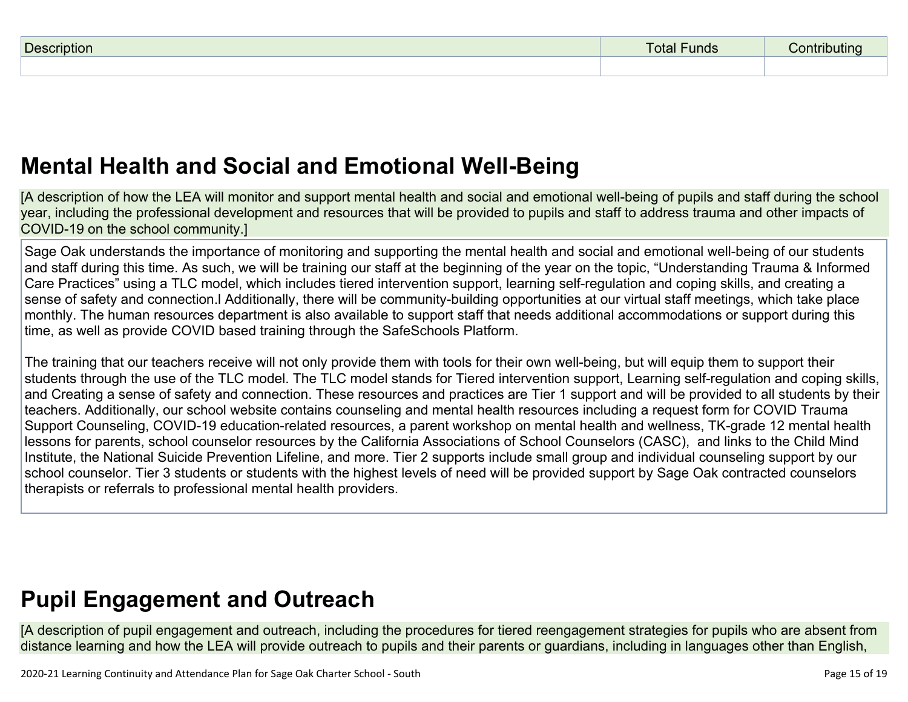| D <sub>0</sub> | Funds<br>otal |  |
|----------------|---------------|--|
|                |               |  |

## **Mental Health and Social and Emotional [Well-Being](http://www.doc-tracking.com/screenshots/20LCP/Instructions/20LCPInstructions.htm#MentalHealthandSocialandEmotional)**

[A description of how the LEA will monitor and support mental health and social and emotional well-being of pupils and staff during the school year, including the professional development and resources that will be provided to pupils and staff to address trauma and other impacts of COVID-19 on the school community.]

Sage Oak understands the importance of monitoring and supporting the mental health and social and emotional well-being of our students and staff during this time. As such, we will be training our staff at the beginning of the year on the topic, "Understanding Trauma & Informed Care Practices" using a TLC model, which includes tiered intervention support, learning self-regulation and coping skills, and creating a sense of safety and connection.l Additionally, there will be community-building opportunities at our virtual staff meetings, which take place monthly. The human resources department is also available to support staff that needs additional accommodations or support during this time, as well as provide COVID based training through the SafeSchools Platform.

The training that our teachers receive will not only provide them with tools for their own well-being, but will equip them to support their students through the use of the TLC model. The TLC model stands for Tiered intervention support, Learning self-regulation and coping skills, and Creating a sense of safety and connection. These resources and practices are Tier 1 support and will be provided to all students by their teachers. Additionally, our school website contains counseling and mental health resources including a request form for COVID Trauma Support Counseling, COVID-19 education-related resources, a parent workshop on mental health and wellness, TK-grade 12 mental health lessons for parents, school counselor resources by the California Associations of School Counselors (CASC), and links to the Child Mind Institute, the National Suicide Prevention Lifeline, and more. Tier 2 supports include small group and individual counseling support by our school counselor. Tier 3 students or students with the highest levels of need will be provided support by Sage Oak contracted counselors therapists or referrals to professional mental health providers.

## **Pupil [Engagement](http://www.doc-tracking.com/screenshots/20LCP/Instructions/20LCPInstructions.htm#PupilEngagementandOutreach) and Outreach**

[A description of pupil engagement and outreach, including the procedures for tiered reengagement strategies for pupils who are absent from distance learning and how the LEA will provide outreach to pupils and their parents or guardians, including in languages other than English,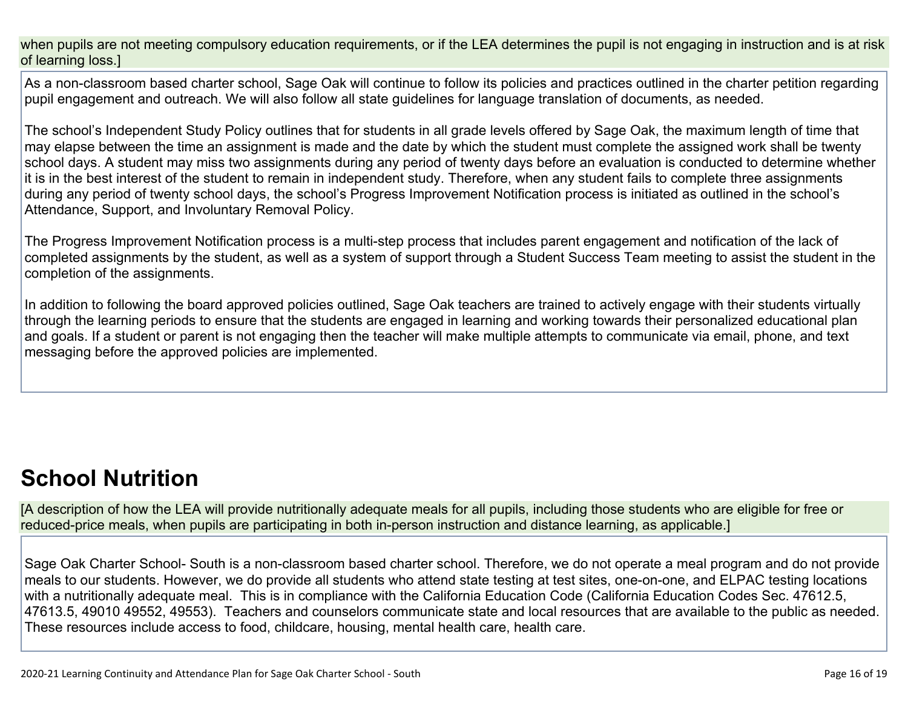when pupils are not meeting compulsory education requirements, or if the LEA determines the pupil is not engaging in instruction and is at risk of learning loss.]

As a non-classroom based charter school, Sage Oak will continue to follow its policies and practices outlined in the charter petition regarding pupil engagement and outreach. We will also follow all state guidelines for language translation of documents, as needed.

The school's Independent Study Policy outlines that for students in all grade levels offered by Sage Oak, the maximum length of time that may elapse between the time an assignment is made and the date by which the student must complete the assigned work shall be twenty school days. A student may miss two assignments during any period of twenty days before an evaluation is conducted to determine whether it is in the best interest of the student to remain in independent study. Therefore, when any student fails to complete three assignments during any period of twenty school days, the school's Progress Improvement Notification process is initiated as outlined in the school's Attendance, Support, and Involuntary Removal Policy.

The Progress Improvement Notification process is a multi-step process that includes parent engagement and notification of the lack of completed assignments by the student, as well as a system of support through a Student Success Team meeting to assist the student in the completion of the assignments.

In addition to following the board approved policies outlined, Sage Oak teachers are trained to actively engage with their students virtually through the learning periods to ensure that the students are engaged in learning and working towards their personalized educational plan and goals. If a student or parent is not engaging then the teacher will make multiple attempts to communicate via email, phone, and text messaging before the approved policies are implemented.

## **School [Nutrition](http://www.doc-tracking.com/screenshots/20LCP/Instructions/20LCPInstructions.htm#SchoolNutrition)**

[A description of how the LEA will provide nutritionally adequate meals for all pupils, including those students who are eligible for free or reduced-price meals, when pupils are participating in both in-person instruction and distance learning, as applicable.]

Sage Oak Charter School- South is a non-classroom based charter school. Therefore, we do not operate a meal program and do not provide meals to our students. However, we do provide all students who attend state testing at test sites, one-on-one, and ELPAC testing locations with a nutritionally adequate meal. This is in compliance with the California Education Code (California Education Codes Sec. 47612.5, 47613.5, 49010 49552, 49553). Teachers and counselors communicate state and local resources that are available to the public as needed. These resources include access to food, childcare, housing, mental health care, health care.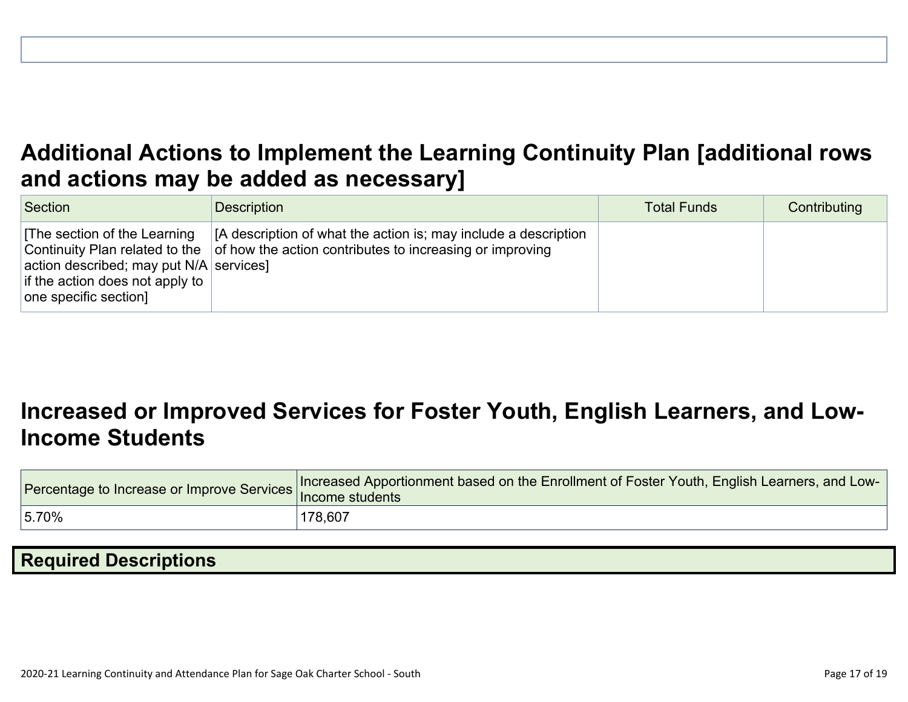## **Additional Actions to Implement the Learning Continuity Plan [\[additional](http://www.doc-tracking.com/screenshots/20LCP/Instructions/20LCPInstructions.htm#AdditionalActions) rows and actions may be added as [necessary\]](http://www.doc-tracking.com/screenshots/20LCP/Instructions/20LCPInstructions.htm#AdditionalActions)**

| Section                                                                                                                              | <b>Description</b>                                                                                                                                                 | <b>Total Funds</b> | Contributing |
|--------------------------------------------------------------------------------------------------------------------------------------|--------------------------------------------------------------------------------------------------------------------------------------------------------------------|--------------------|--------------|
| The section of the Learning<br>action described; may put $N/A$ services]<br>if the action does not apply to<br>one specific section] | [A description of what the action is; may include a description<br>Continuity Plan related to the $\vert$ of how the action contributes to increasing or improving |                    |              |

## **[Increased](http://www.doc-tracking.com/screenshots/20LCP/Instructions/20LCPInstructions.htm#IncreasedorImprovedServices) or Improved Services for Foster Youth, English Learners, and Low-Income [Students](http://www.doc-tracking.com/screenshots/20LCP/Instructions/20LCPInstructions.htm#IncreasedorImprovedServices)**

| Percentage to Increase or Improve Services   Income students | Increased Apportionment based on the Enrollment of Foster Youth, English Learners, and Low- |
|--------------------------------------------------------------|---------------------------------------------------------------------------------------------|
| 15.70%                                                       | 178,607                                                                                     |

## **Required [Descriptions](http://www.doc-tracking.com/screenshots/20LCP/Instructions/20LCPInstructions.htm#RequiredDescriptions)**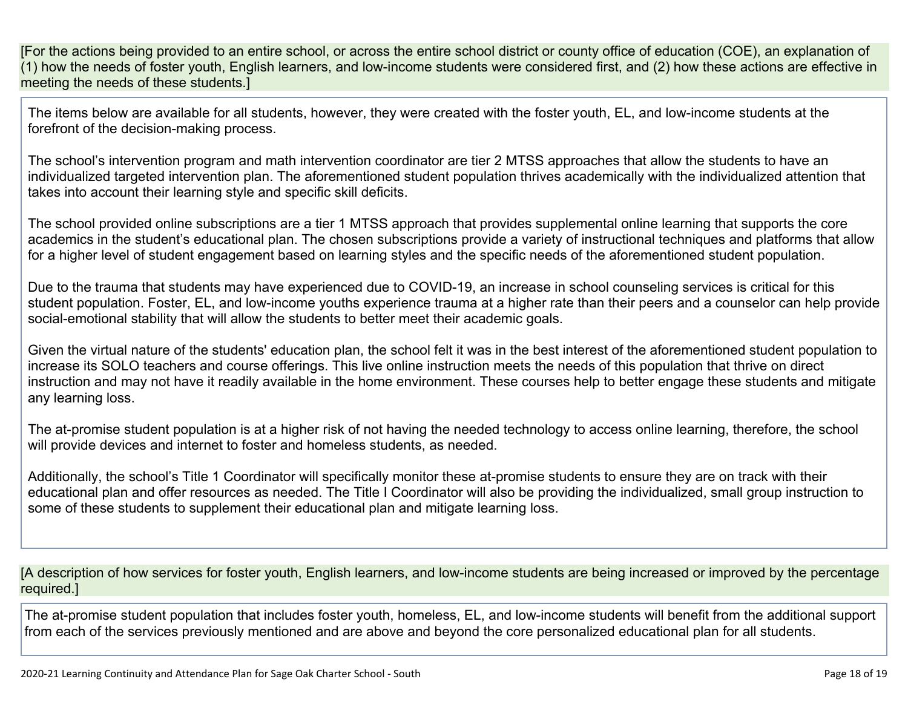[For the actions being provided to an entire school, or across the entire school district or county office of education (COE), an explanation of (1) how the needs of foster youth, English learners, and low-income students were considered first, and (2) how these actions are effective in meeting the needs of these students.]

The items below are available for all students, however, they were created with the foster youth, EL, and low-income students at the forefront of the decision-making process.

The school's intervention program and math intervention coordinator are tier 2 MTSS approaches that allow the students to have an individualized targeted intervention plan. The aforementioned student population thrives academically with the individualized attention that takes into account their learning style and specific skill deficits.

The school provided online subscriptions are a tier 1 MTSS approach that provides supplemental online learning that supports the core academics in the student's educational plan. The chosen subscriptions provide a variety of instructional techniques and platforms that allow for a higher level of student engagement based on learning styles and the specific needs of the aforementioned student population.

Due to the trauma that students may have experienced due to COVID-19, an increase in school counseling services is critical for this student population. Foster, EL, and low-income youths experience trauma at a higher rate than their peers and a counselor can help provide social-emotional stability that will allow the students to better meet their academic goals.

Given the virtual nature of the students' education plan, the school felt it was in the best interest of the aforementioned student population to increase its SOLO teachers and course offerings. This live online instruction meets the needs of this population that thrive on direct instruction and may not have it readily available in the home environment. These courses help to better engage these students and mitigate any learning loss.

The at-promise student population is at a higher risk of not having the needed technology to access online learning, therefore, the school will provide devices and internet to foster and homeless students, as needed.

Additionally, the school's Title 1 Coordinator will specifically monitor these at-promise students to ensure they are on track with their educational plan and offer resources as needed. The Title I Coordinator will also be providing the individualized, small group instruction to some of these students to supplement their educational plan and mitigate learning loss.

[A description of how services for foster youth, English learners, and low-income students are being increased or improved by the percentage required.]

The at-promise student population that includes foster youth, homeless, EL, and low-income students will benefit from the additional support from each of the services previously mentioned and are above and beyond the core personalized educational plan for all students.